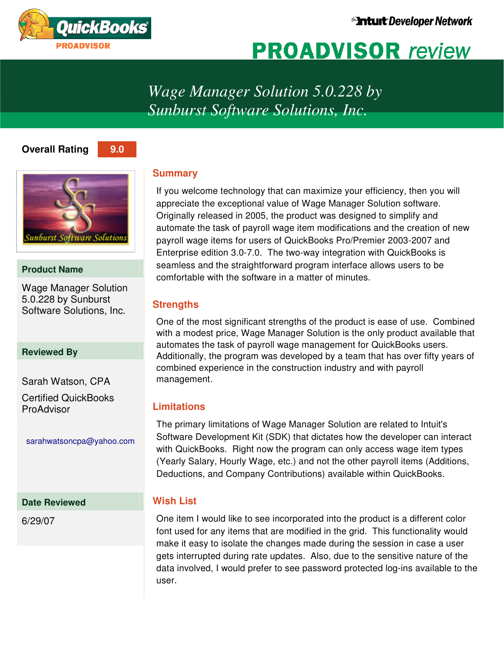

# **PROADVISOR** review

*Wage Manager Solution 5.0.228 by Sunburst Software Solutions, Inc.* 

# **Overall Rating 9.0**





# **Product Name**

Wage Manager Solution 5.0.228 by Sunburst Software Solutions, Inc.

# **Reviewed By**

Sarah Watson, CPA Certified QuickBooks ProAdvisor

sarahwatsoncpa@yahoo.com

# **Date Reviewed**

6/29/07

# **Summary**

If you welcome technology that can maximize your efficiency, then you will appreciate the exceptional value of Wage Manager Solution software. Originally released in 2005, the product was designed to simplify and automate the task of payroll wage item modifications and the creation of new payroll wage items for users of QuickBooks Pro/Premier 2003-2007 and Enterprise edition 3.0-7.0. The two-way integration with QuickBooks is seamless and the straightforward program interface allows users to be comfortable with the software in a matter of minutes.

# **Strengths**

One of the most significant strengths of the product is ease of use. Combined with a modest price, Wage Manager Solution is the only product available that automates the task of payroll wage management for QuickBooks users. Additionally, the program was developed by a team that has over fifty years of combined experience in the construction industry and with payroll management.

# **Limitations**

The primary limitations of Wage Manager Solution are related to Intuit's Software Development Kit (SDK) that dictates how the developer can interact with QuickBooks. Right now the program can only access wage item types (Yearly Salary, Hourly Wage, etc.) and not the other payroll items (Additions, Deductions, and Company Contributions) available within QuickBooks.

# **Wish List**

One item I would like to see incorporated into the product is a different color font used for any items that are modified in the grid. This functionality would make it easy to isolate the changes made during the session in case a user gets interrupted during rate updates. Also, due to the sensitive nature of the data involved, I would prefer to see password protected log-ins available to the user.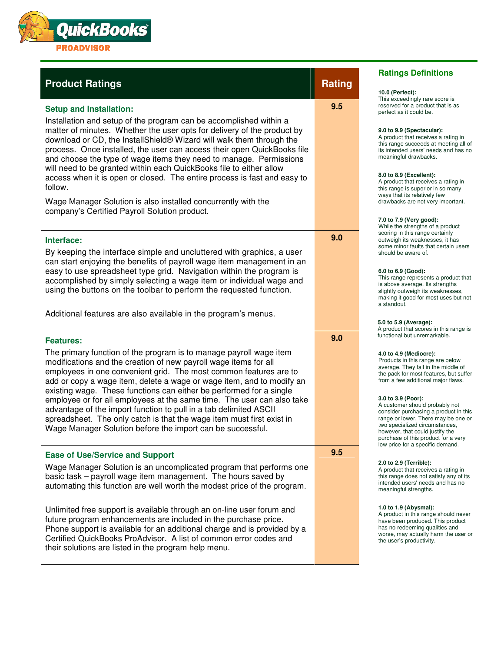

# **Product Ratings And All According Product Rating According According According According According According According According According According According According According According According According According Ac**

## **Setup and Installation:**

Installation and setup of the program can be accomplished within a matter of minutes. Whether the user opts for delivery of the product by download or CD, the InstallShield® Wizard will walk them through the process. Once installed, the user can access their open QuickBooks file and choose the type of wage items they need to manage. Permissions will need to be granted within each QuickBooks file to either allow access when it is open or closed. The entire process is fast and easy to follow.

Wage Manager Solution is also installed concurrently with the company's Certified Payroll Solution product.

### **Interface:**

By keeping the interface simple and uncluttered with graphics, a user can start enjoying the benefits of payroll wage item management in an easy to use spreadsheet type grid. Navigation within the program is accomplished by simply selecting a wage item or individual wage and using the buttons on the toolbar to perform the requested function.

Additional features are also available in the program's menus.

### **Features:**

The primary function of the program is to manage payroll wage item modifications and the creation of new payroll wage items for all employees in one convenient grid. The most common features are to add or copy a wage item, delete a wage or wage item, and to modify an existing wage. These functions can either be performed for a single employee or for all employees at the same time. The user can also take advantage of the import function to pull in a tab delimited ASCII spreadsheet. The only catch is that the wage item must first exist in Wage Manager Solution before the import can be successful.

### **Ease of Use/Service and Support**

Wage Manager Solution is an uncomplicated program that performs one basic task – payroll wage item management. The hours saved by automating this function are well worth the modest price of the program.

Unlimited free support is available through an on-line user forum and future program enhancements are included in the purchase price. Phone support is available for an additional charge and is provided by a Certified QuickBooks ProAdvisor. A list of common error codes and their solutions are listed in the program help menu.

**9.5** 

**9.0** 

**9.0** 

**9.5** 

**10.0 (Perfect):** This exceedingly rare score is reserved for a product that is as

**Ratings Definitions**

### **9.0 to 9.9 (Spectacular):**

perfect as it could be.

A product that receives a rating in this range succeeds at meeting all of its intended users' needs and has no meaningful drawbacks.

### **8.0 to 8.9 (Excellent):**

A product that receives a rating in this range is superior in so many ways that its relatively few drawbacks are not very important.

### **7.0 to 7.9 (Very good):**

While the strengths of a product scoring in this range certainly outweigh its weaknesses, it has some minor faults that certain users should be aware of.

### **6.0 to 6.9 (Good):**

This range represents a product that is above average. Its strengths slightly outweigh its weaknesses, making it good for most uses but not a standout.

### **5.0 to 5.9 (Average):**

A product that scores in this range is functional but unremarkable.

### **4.0 to 4.9 (Mediocre):**

Products in this range are below average. They fall in the middle of the pack for most features, but suffer from a few additional major flaws.

### **3.0 to 3.9 (Poor):**

A customer should probably not consider purchasing a product in this range or lower. There may be one or two specialized circumstances, however, that could justify the purchase of this product for a very low price for a specific demand.

### **2.0 to 2.9 (Terrible):**

A product that receives a rating in this range does not satisfy any of its intended users' needs and has no meaningful strengths.

### **1.0 to 1.9 (Abysmal):**

A product in this range should never have been produced. This product has no redeeming qualities and worse, may actually harm the user or the user's productivity.